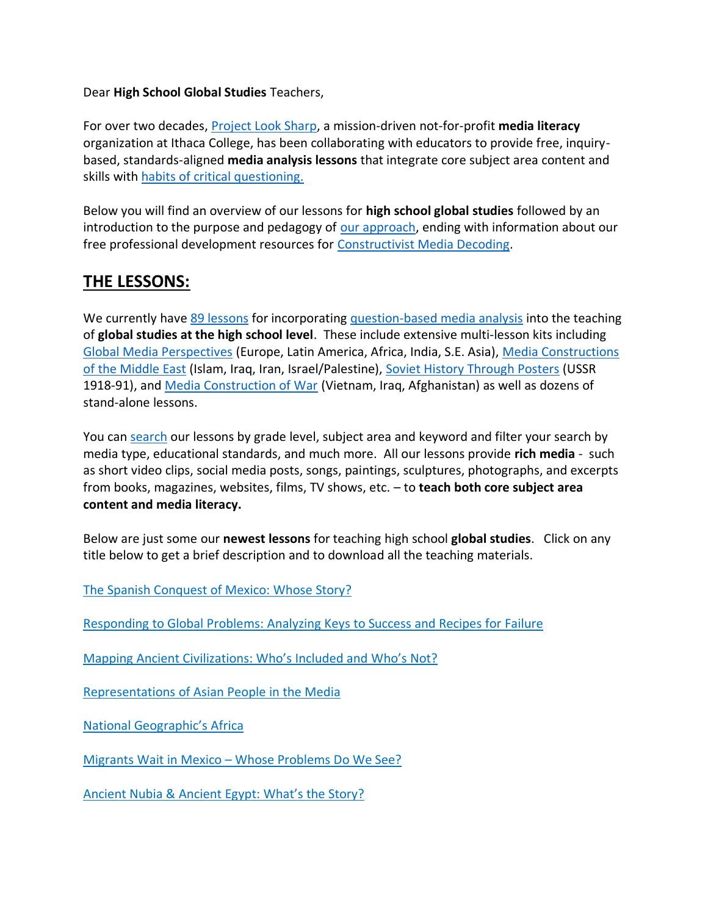#### Dear **High School Global Studies** Teachers,

For over two decades, [Project Look Sharp,](https://www.projectlooksharp.org/) a mission-driven not-for-profit **media literacy** organization at Ithaca College, has been collaborating with educators to provide free, inquirybased, standards-aligned **media analysis lessons** that integrate core subject area content and skills with [habits of critical questioning.](https://projectlooksharp.org/Resources%202/Key-Questions-for-Decoding%20Dec-21.pdf)

Below you will find an overview of our lessons for **high school global studies** followed by an introduction to the purpose and pedagogy of [our approach,](https://projectlooksharp.org/our-approach.php) ending with information about our free professional development resources for [Constructivist Media Decoding.](https://projectlooksharp.org/our-approach.php#Constructivist)

# **THE LESSONS:**

We currently hav[e 89 lessons](https://projectlooksharp.org/search-result.php?search%5Bkeyword%5D=&search%5Bcategory%5D=lessons&search_filter%5Bresource_subject_area%5D%5B0%5D=global+studies&search_filter%5Bresource_grade_level%5D%5B0%5D=high+school&limit=-1) for incorporating [question-based media analysis](https://projectlooksharp.org/our-approach.php#Constructivist) into the teaching of **global studies at the high school level**. These include extensive multi-lesson kits including [Global Media Perspectives](https://projectlooksharp.org/front_end.php?kit_id=18) (Europe, Latin America, Africa, India, S.E. Asia), [Media Constructions](https://projectlooksharp.org/front_end.php?kit_id=10)  [of the Middle East](https://projectlooksharp.org/front_end.php?kit_id=10) (Islam, Iraq, Iran, Israel/Palestine), [Soviet History Through Posters](https://projectlooksharp.org/front_end.php?kit_id=23) (USSR 1918-91), and [Media Construction of War](https://projectlooksharp.org/front_end.php?kit_id=25) (Vietnam, Iraq, Afghanistan) as well as dozens of stand-alone lessons.

You can [search](https://projectlooksharp.org/search-result.php?search%5Bcategory%5D=all&search%5Bkeyword%5D=&search_filter%5Bresource_subject_area%5D%5B%5D=&search_filter%5Bresource_grade_level%5D%5B%5D=) our lessons by grade level, subject area and keyword and filter your search by media type, educational standards, and much more. All our lessons provide **rich media** - such as short video clips, social media posts, songs, paintings, sculptures, photographs, and excerpts from books, magazines, websites, films, TV shows, etc. – to **teach both core subject area content and media literacy.**

Below are just some our **newest lessons** for teaching high school **global studies**. Click on any title below to get a brief description and to download all the teaching materials.

The Spanish [Conquest](https://projectlooksharp.org/front_end_resource.php?resource_id=459) of Mexico: Whose Story?

[Responding](https://projectlooksharp.org/front_end_resource.php?resource_id=431) to Global Problems: Analyzing Keys to Success and Recipes for Failure

Mapping Ancient [Civilizations:](https://projectlooksharp.org/front_end_resource.php?resource_id=562) Who's Included and Who's Not?

[Representations](https://projectlooksharp.org/front_end_resource.php?resource_id=560) of Asian People in the Media

National [Geographic's](https://projectlooksharp.org/front_end_resource.php?resource_id=443) Africa

Migrants Wait in Mexico - Whose [Problems](https://projectlooksharp.org/front_end_resource.php?resource_id=485) Do We See?

Ancient Nubia & [Ancient](https://projectlooksharp.org/front_end_resource.php?resource_id=564) Egypt: What's the Story?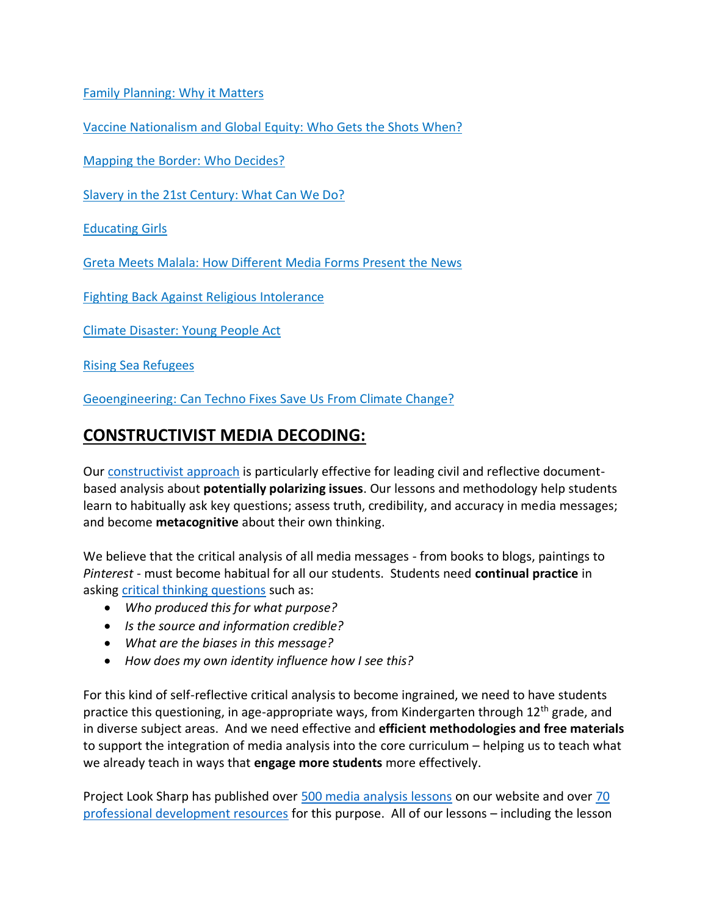Family [Planning:](https://projectlooksharp.org/front_end_resource.php?resource_id=446) Why it Matters

Vaccine [Nationalism](https://projectlooksharp.org/front_end_resource.php?resource_id=557) and Global Equity: Who Gets the Shots When?

Mapping the Border: Who [Decides?](https://projectlooksharp.org/front_end_resource.php?resource_id=457)

Slavery in the 21st [Century:](https://projectlooksharp.org/front_end_resource.php?resource_id=499) What Can We Do?

[Educating](https://projectlooksharp.org/front_end_resource.php?resource_id=441) Girls

Greta Meets Malala: How [Different](https://projectlooksharp.org/front_end_resource.php?resource_id=531) Media Forms Present the News

Fighting Back Against Religious [Intolerance](https://projectlooksharp.org/front_end_resource.php?resource_id=524)

Climate [Disaster:](https://projectlooksharp.org/front_end_resource.php?resource_id=471) Young People Act

Rising Sea [Refugees](https://projectlooksharp.org/front_end_resource.php?resource_id=424)

[Geoengineering:](https://projectlooksharp.org/front_end_resource.php?resource_id=421) Can Techno Fixes Save Us From Climate Change?

## **CONSTRUCTIVIST MEDIA DECODING:**

Our [constructivist](https://projectlooksharp.org/our-approach.php) approach is particularly effective for leading civil and reflective documentbased analysis about **potentially polarizing issues**. Our lessons and methodology help students learn to habitually ask key questions; assess truth, credibility, and accuracy in media messages; and become **metacognitive** about their own thinking.

We believe that the critical analysis of all media messages - from books to blogs, paintings to *Pinterest* - must become habitual for all our students. Students need **continual practice** in asking [critical thinking questions](https://projectlooksharp.org/Resources%202/Project%20Look%20Sharp%20Key%20Questions%20Both.pdf) such as:

- *Who produced this for what purpose?*
- *Is the source and information credible?*
- *What are the biases in this message?*
- *How does my own identity influence how I see this?*

For this kind of self-reflective critical analysis to become ingrained, we need to have students practice this questioning, in age-appropriate ways, from Kindergarten through 12<sup>th</sup> grade, and in diverse subject areas. And we need effective and **efficient methodologies and free materials** to support the integration of media analysis into the core curriculum – helping us to teach what we already teach in ways that **engage more students** more effectively.

Project Look Sharp has published over [500 media analysis lessons](https://www.projectlooksharp.org/search-result.php?search%5Bkeyword%5D=&search%5Bcategory%5D=lessons) on our website and over [70](https://www.projectlooksharp.org/search-result.php?search%5Bkeyword%5D=&search%5Bcategory%5D=PD)  [professional development resources](https://www.projectlooksharp.org/search-result.php?search%5Bkeyword%5D=&search%5Bcategory%5D=PD) for this purpose. All of our lessons – including the lesson